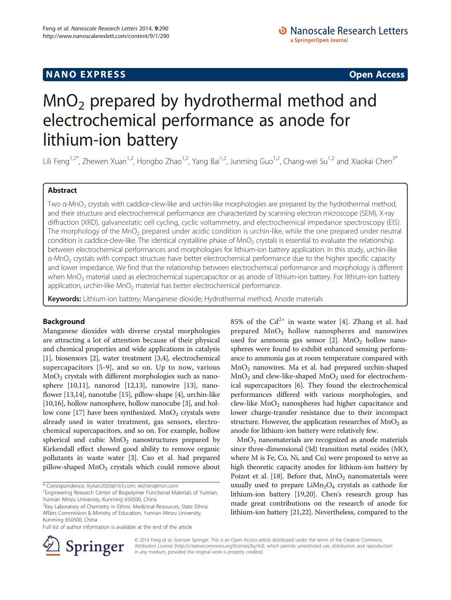# **NANO EXPRESS** Open Access and the set of the set of the set of the set of the set of the set of the set of the set of the set of the set of the set of the set of the set of the set of the set of the set of the set of the

# $MnO<sub>2</sub>$  prepared by hydrothermal method and electrochemical performance as anode for lithium-ion battery

Lili Feng<sup>1,2\*</sup>, Zhewen Xuan<sup>1,2</sup>, Hongbo Zhao<sup>1,2</sup>, Yang Bai<sup>1,2</sup>, Junming Guo<sup>1,2</sup>, Chang-wei Su<sup>1,2</sup> and Xiaokai Chen<sup>3\*</sup>

# Abstract

Two α-MnO<sub>2</sub> crystals with caddice-clew-like and urchin-like morphologies are prepared by the hydrothermal method, and their structure and electrochemical performance are characterized by scanning electron microscope (SEM), X-ray diffraction (XRD), galvanostatic cell cycling, cyclic voltammetry, and electrochemical impedance spectroscopy (EIS). The morphology of the  $MnO<sub>2</sub>$  prepared under acidic condition is urchin-like, while the one prepared under neutral condition is caddice-clew-like. The identical crystalline phase of MnO<sub>2</sub> crystals is essential to evaluate the relationship between electrochemical performances and morphologies for lithium-ion battery application. In this study, urchin-like α-MnO<sub>2</sub> crystals with compact structure have better electrochemical performance due to the higher specific capacity and lower impedance. We find that the relationship between electrochemical performance and morphology is different when  $MnO<sub>2</sub>$  material used as electrochemical supercapacitor or as anode of lithium-ion battery. For lithium-ion battery application, urchin-like  $MnO<sub>2</sub>$  material has better electrochemical performance.

Keywords: Lithium-ion battery; Manganese dioxide; Hydrothermal method; Anode materials

# Background

Manganese dioxides with diverse crystal morphologies are attracting a lot of attention because of their physical and chemical properties and wide applications in catalysis [[1\]](#page-6-0), biosensors [\[2\]](#page-6-0), water treatment [\[3,4](#page-6-0)], electrochemical supercapacitors [[5-9\]](#page-6-0), and so on. Up to now, various  $MnO<sub>2</sub>$  crystals with different morphologies such as nanosphere [\[10,11](#page-6-0)], nanorod [\[12,13\]](#page-6-0), nanowire [\[13\]](#page-6-0), nanoflower [\[13,14\]](#page-6-0), nanotube [\[15\]](#page-6-0), pillow-shape [\[4\]](#page-6-0), urchin-like [[10,16](#page-6-0)], hollow nanosphere, hollow nanocube [\[3\]](#page-6-0), and hol-low cone [\[17](#page-6-0)] have been synthesized.  $MnO<sub>2</sub>$  crystals were already used in water treatment, gas sensors, electrochemical supercapacitors, and so on. For example, hollow spherical and cubic  $MnO<sub>2</sub>$  nanostructures prepared by Kirkendall effect showed good ability to remove organic pollutants in waste water [\[3](#page-6-0)]. Cao et al. had prepared pillow-shaped  $MnO<sub>2</sub>$  crystals which could remove about

\* Correspondence: [lilylian2003@163.com](mailto:lilylian2003@163.com); [xkchen@msn.com](mailto:xkchen@msn.com) <sup>1</sup>

<sup>1</sup> Engineering Research Center of Biopolymer Functional Materials of Yunnan, Yunnan Minzu University, Kunming 650500, China

<sup>2</sup>Key Laboratory of Chemistry in Ethnic Medicinal Resources, State Ethnic Affairs Commission & Ministry of Education, Yunnan Minzu University, Kunming 650500, China

Full list of author information is available at the end of the article



85% of the  $Cd^{2+}$  in waste water [[4\]](#page-6-0). Zhang et al. had prepared  $MnO<sub>2</sub>$  hollow nanospheres and nanowires used for ammonia gas sensor  $[2]$  $[2]$ . MnO<sub>2</sub> hollow nanospheres were found to exhibit enhanced sensing performance to ammonia gas at room temperature compared with  $MnO<sub>2</sub>$  nanowires. Ma et al. had prepared urchin-shaped  $MnO<sub>2</sub>$  and clew-like-shaped  $MnO<sub>2</sub>$  used for electrochemical supercapacitors [\[6](#page-6-0)]. They found the electrochemical performances differed with various morphologies, and  $clew-like MnO<sub>2</sub> nanospheres had higher capacitance and$ lower charge-transfer resistance due to their incompact structure. However, the application researches of  $MnO<sub>2</sub>$  as anode for lithium-ion battery were relatively few.

 $MnO<sub>2</sub>$  nanomaterials are recognized as anode materials since three-dimensional (3d) transition metal oxides (MO, where M is Fe, Co, Ni, and Cu) were proposed to serve as high theoretic capacity anodes for lithium-ion battery by Poizot et al. [[18](#page-6-0)]. Before that,  $MnO<sub>2</sub>$  nanomaterials were usually used to prepare  $LiMn<sub>2</sub>O<sub>4</sub>$  crystals as cathode for lithium-ion battery [\[19,20\]](#page-6-0). Chen's research group has made great contributions on the research of anode for lithium-ion battery [[21,22\]](#page-6-0). Nevertheless, compared to the

© 2014 Feng et al.; licensee Springer. This is an Open Access article distributed under the terms of the Creative Commons Attribution License [\(http://creativecommons.org/licenses/by/4.0\)](http://creativecommons.org/licenses/by/4.0), which permits unrestricted use, distribution, and reproduction in any medium, provided the original work is properly credited.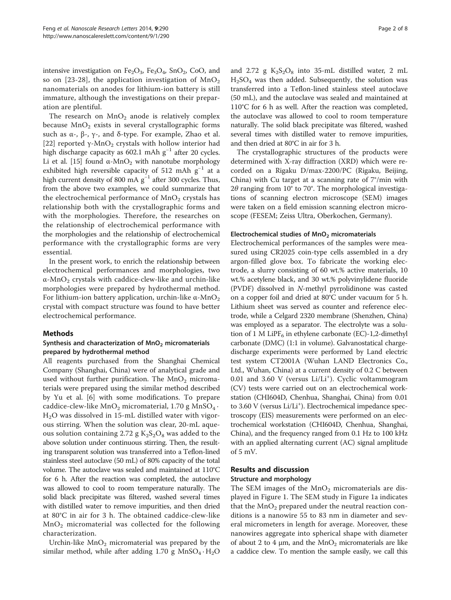intensive investigation on  $Fe<sub>2</sub>O<sub>3</sub>$ ,  $Fe<sub>3</sub>O<sub>4</sub>$ ,  $SnO<sub>2</sub>$ ,  $CoO$ , and so on [[23](#page-6-0)-[28](#page-6-0)], the application investigation of  $MnO<sub>2</sub>$ nanomaterials on anodes for lithium-ion battery is still immature, although the investigations on their preparation are plentiful.

The research on  $MnO<sub>2</sub>$  anode is relatively complex because  $MnO<sub>2</sub>$  exists in several crystallographic forms such as  $\alpha$ -,  $\beta$ -,  $\gamma$ -, and δ-type. For example, Zhao et al. [[22\]](#page-6-0) reported  $\gamma$ -MnO<sub>2</sub> crystals with hollow interior had high discharge capacity as 602.1 mAh g<sup>-1</sup> after 20 cycles. Li et al. [\[15\]](#page-6-0) found  $\alpha$ -MnO<sub>2</sub> with nanotube morphology exhibited high reversible capacity of 512 mAh  $g^{-1}$  at a high current density of 800 mA  $g^{-1}$  after 300 cycles. Thus, from the above two examples, we could summarize that the electrochemical performance of  $MnO<sub>2</sub>$  crystals has relationship both with the crystallographic forms and with the morphologies. Therefore, the researches on the relationship of electrochemical performance with the morphologies and the relationship of electrochemical performance with the crystallographic forms are very essential.

In the present work, to enrich the relationship between electrochemical performances and morphologies, two  $\alpha$ -MnO<sub>2</sub> crystals with caddice-clew-like and urchin-like morphologies were prepared by hydrothermal method. For lithium-ion battery application, urchin-like  $\alpha$ -MnO<sub>2</sub> crystal with compact structure was found to have better electrochemical performance.

## Methods

# Synthesis and characterization of  $MnO<sub>2</sub>$  micromaterials prepared by hydrothermal method

All reagents purchased from the Shanghai Chemical Company (Shanghai, China) were of analytical grade and used without further purification. The  $MnO<sub>2</sub>$  micromaterials were prepared using the similar method described by Yu et al. [[6\]](#page-6-0) with some modifications. To prepare caddice-clew-like  $MnO_2$  micromaterial, 1.70 g  $MnSO_4$ . H2O was dissolved in 15-mL distilled water with vigorous stirring. When the solution was clear, 20-mL aqueous solution containing 2.72 g  $K_2S_2O_8$  was added to the above solution under continuous stirring. Then, the resulting transparent solution was transferred into a Teflon-lined stainless steel autoclave (50 mL) of 80% capacity of the total volume. The autoclave was sealed and maintained at 110°C for 6 h. After the reaction was completed, the autoclave was allowed to cool to room temperature naturally. The solid black precipitate was filtered, washed several times with distilled water to remove impurities, and then dried at 80°C in air for 3 h. The obtained caddice-clew-like  $MnO<sub>2</sub>$  micromaterial was collected for the following characterization.

Urchin-like  $MnO<sub>2</sub>$  micromaterial was prepared by the similar method, while after adding 1.70 g  $MnSO_4 \cdot H_2O$ 

and 2.72 g  $K_2S_2O_8$  into 35-mL distilled water, 2 mL  $H<sub>2</sub>SO<sub>4</sub>$  was then added. Subsequently, the solution was transferred into a Teflon-lined stainless steel autoclave (50 mL), and the autoclave was sealed and maintained at 110°C for 6 h as well. After the reaction was completed, the autoclave was allowed to cool to room temperature naturally. The solid black precipitate was filtered, washed several times with distilled water to remove impurities, and then dried at 80°C in air for 3 h.

The crystallographic structures of the products were determined with X-ray diffraction (XRD) which were recorded on a Rigaku D/max-2200/PC (Rigaku, Beijing, China) with Cu target at a scanning rate of 7°/min with  $2\theta$  ranging from 10° to 70°. The morphological investigations of scanning electron microscope (SEM) images were taken on a field emission scanning electron microscope (FESEM; Zeiss Ultra, Oberkochen, Germany).

#### Electrochemical studies of MnO<sub>2</sub> micromaterials

Electrochemical performances of the samples were measured using CR2025 coin-type cells assembled in a dry argon-filled glove box. To fabricate the working electrode, a slurry consisting of 60 wt.% active materials, 10 wt.% acetylene black, and 30 wt.% polyvinylidene fluoride (PVDF) dissolved in N-methyl pyrrolidinone was casted on a copper foil and dried at 80°C under vacuum for 5 h. Lithium sheet was served as counter and reference electrode, while a Celgard 2320 membrane (Shenzhen, China) was employed as a separator. The electrolyte was a solution of 1 M LiPF<sub>6</sub> in ethylene carbonate (EC)-1,2-dimethyl carbonate (DMC) (1:1 in volume). Galvanostatical chargedischarge experiments were performed by Land electric test system CT2001A (Wuhan LAND Electronics Co., Ltd., Wuhan, China) at a current density of 0.2 C between 0.01 and 3.60 V (versus Li/Li<sup>+</sup>). Cyclic voltammogram (CV) tests were carried out on an electrochemical workstation (CHI604D, Chenhua, Shanghai, China) from 0.01 to 3.60 V (versus Li/Li<sup>+</sup>). Electrochemical impedance spectroscopy (EIS) measurements were performed on an electrochemical workstation (CHI604D, Chenhua, Shanghai, China), and the frequency ranged from 0.1 Hz to 100 kHz with an applied alternating current (AC) signal amplitude of 5 mV.

# Results and discussion

#### Structure and morphology

The SEM images of the  $MnO<sub>2</sub>$  micromaterials are displayed in Figure [1.](#page-2-0) The SEM study in Figure [1a](#page-2-0) indicates that the  $MnO<sub>2</sub>$  prepared under the neutral reaction conditions is a nanowire 55 to 83 nm in diameter and several micrometers in length for average. Moreover, these nanowires aggregate into spherical shape with diameter of about 2 to 4  $\mu$ m, and the MnO<sub>2</sub> micromaterials are like a caddice clew. To mention the sample easily, we call this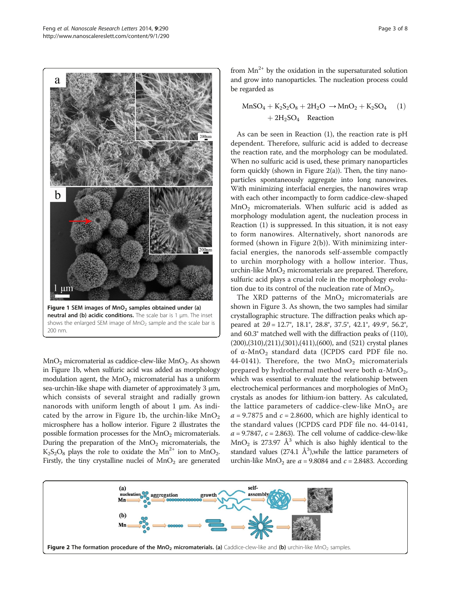<span id="page-2-0"></span>

 $MnO<sub>2</sub>$  micromaterial as caddice-clew-like  $MnO<sub>2</sub>$ . As shown in Figure 1b, when sulfuric acid was added as morphology modulation agent, the  $MnO<sub>2</sub>$  micromaterial has a uniform sea-urchin-like shape with diameter of approximately 3 μm, which consists of several straight and radially grown nanorods with uniform length of about 1 μm. As indicated by the arrow in Figure 1b, the urchin-like  $MnO<sub>2</sub>$ microsphere has a hollow interior. Figure 2 illustrates the possible formation processes for the  $MnO<sub>2</sub>$  micromaterials. During the preparation of the  $MnO<sub>2</sub>$  micromaterials, the  $K_2S_2O_8$  plays the role to oxidate the  $Mn^{2+}$  ion to  $MnO_2$ . Firstly, the tiny crystalline nuclei of  $MnO<sub>2</sub>$  are generated from  $Mn^{2+}$  by the oxidation in the supersaturated solution and grow into nanoparticles. The nucleation process could be regarded as

$$
MnSO4 + K2S2O8 + 2H2O \rightarrow MnO2 + K2SO4 (1)+ 2H2SO4 Reaction
$$

As can be seen in Reaction (1), the reaction rate is pH dependent. Therefore, sulfuric acid is added to decrease the reaction rate, and the morphology can be modulated. When no sulfuric acid is used, these primary nanoparticles form quickly (shown in Figure  $2(a)$ ). Then, the tiny nanoparticles spontaneously aggregate into long nanowires. With minimizing interfacial energies, the nanowires wrap with each other incompactly to form caddice-clew-shaped  $MnO<sub>2</sub>$  micromaterials. When sulfuric acid is added as morphology modulation agent, the nucleation process in Reaction (1) is suppressed. In this situation, it is not easy to form nanowires. Alternatively, short nanorods are formed (shown in Figure 2(b)). With minimizing interfacial energies, the nanorods self-assemble compactly to urchin morphology with a hollow interior. Thus, urchin-like  $MnO<sub>2</sub>$  micromaterials are prepared. Therefore, sulfuric acid plays a crucial role in the morphology evolution due to its control of the nucleation rate of  $MnO<sub>2</sub>$ .

The XRD patterns of the  $MnO<sub>2</sub>$  micromaterials are shown in Figure [3](#page-3-0). As shown, the two samples had similar crystallographic structure. The diffraction peaks which appeared at  $2\theta = 12.7^{\circ}$ , 18.1°, 28.8°, 37.5°, 42.1°, 49.9°, 56.2°, and 60.3° matched well with the diffraction peaks of (110), (200),(310),(211),(301),(411),(600), and (521) crystal planes of α-MnO2 standard data (JCPDS card PDF file no. 44-0141). Therefore, the two  $MnO<sub>2</sub>$  micromaterials prepared by hydrothermal method were both  $α$ -MnO<sub>2</sub>, which was essential to evaluate the relationship between electrochemical performances and morphologies of  $MnO<sub>2</sub>$ crystals as anodes for lithium-ion battery. As calculated, the lattice parameters of caddice-clew-like  $MnO<sub>2</sub>$  are  $a = 9.7875$  and  $c = 2.8600$ , which are highly identical to the standard values (JCPDS card PDF file no. 44-0141,  $a = 9.7847$ ,  $c = 2.863$ ). The cell volume of caddice-clew-like  $MnO<sub>2</sub>$  is 273.97 Å<sup>3</sup> which is also highly identical to the standard values (274.1  $\AA$ <sup>3</sup>), while the lattice parameters of urchin-like MnO<sub>2</sub> are  $a = 9.8084$  and  $c = 2.8483$ . According

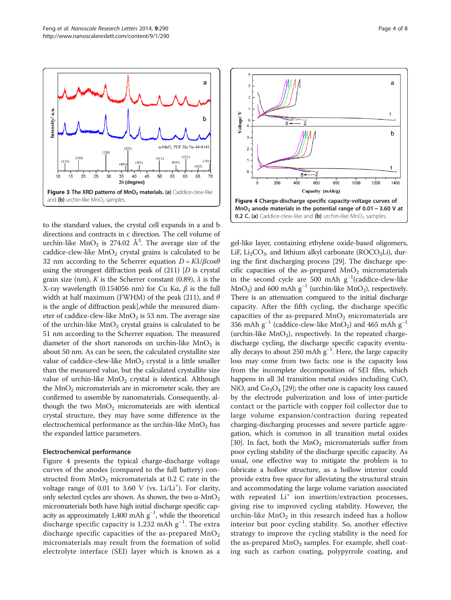<span id="page-3-0"></span>

to the standard values, the crystal cell expands in a and b directions and contracts in c direction. The cell volume of urchin-like  $MnO_2$  is 274.02  $\AA^3$ . The average size of the caddice-clew-like  $MnO<sub>2</sub>$  crystal grains is calculated to be 32 nm according to the Scherrer equation  $D = K\lambda/\beta\cos\theta$ using the strongest diffraction peak of  $(211)$  [D is crystal] grain size (nm), K is the Scherrer constant (0.89),  $\lambda$  is the X-ray wavelength (0.154056 nm) for Cu Kα,  $β$  is the full width at half maximum (FWHM) of the peak (211), and  $\theta$ is the angle of diffraction peak],while the measured diameter of caddice-clew-like  $MnO<sub>2</sub>$  is 53 nm. The average size of the urchin-like  $MnO<sub>2</sub>$  crystal grains is calculated to be 51 nm according to the Scherrer equation. The measured diameter of the short nanorods on urchin-like  $MnO<sub>2</sub>$  is about 50 nm. As can be seen, the calculated crystallite size value of caddice-clew-like  $MnO<sub>2</sub>$  crystal is a little smaller than the measured value, but the calculated crystallite size value of urchin-like  $MnO<sub>2</sub>$  crystal is identical. Although the  $MnO<sub>2</sub>$  micromaterials are in micrometer scale, they are confirmed to assemble by nanomaterials. Consequently, although the two  $MnO<sub>2</sub>$  micromaterials are with identical crystal structure, they may have some difference in the electrochemical performance as the urchin-like  $MnO<sub>2</sub>$  has the expanded lattice parameters.

## Electrochemical performance

Figure 4 presents the typical charge-discharge voltage curves of the anodes (compared to the full battery) constructed from  $MnO<sub>2</sub>$  micromaterials at 0.2 C rate in the voltage range of  $0.01$  to  $3.60$  V (vs.  $Li/Li^{+}$ ). For clarity, only selected cycles are shown. As shown, the two α-MnO<sub>2</sub> micromaterials both have high initial discharge specific capacity as approximately 1,400 mAh  $g^{-1}$ , while the theoretical discharge specific capacity is 1,232 mAh g−<sup>1</sup> . The extra discharge specific capacities of the as-prepared  $MnO<sub>2</sub>$ micromaterials may result from the formation of solid electrolyte interface (SEI) layer which is known as a



gel-like layer, containing ethylene oxide-based oligomers, LiF, Li<sub>2</sub>CO<sub>3</sub>, and lithium alkyl carbonate (ROCO<sub>2</sub>Li), during the first discharging process [\[29](#page-6-0)]. The discharge specific capacities of the as-prepared  $MnO<sub>2</sub>$  micromaterials in the second cycle are 500 mAh g−<sup>1</sup> (caddice-clew-like MnO<sub>2</sub>) and 600 mAh  $g^{-1}$  (urchin-like MnO<sub>2</sub>), respectively. There is an attenuation compared to the initial discharge capacity. After the fifth cycling, the discharge specific capacities of the as-prepared  $MnO<sub>2</sub>$  micromaterials are 356 mAh  $g^{-1}$  (caddice-clew-like MnO<sub>2</sub>) and 465 mAh  $g^{-1}$ (urchin-like  $MnO<sub>2</sub>$ ), respectively. In the repeated chargedischarge cycling, the discharge specific capacity eventually decays to about 250 mAh g−<sup>1</sup> . Here, the large capacity loss may come from two facts: one is the capacity loss from the incomplete decomposition of SEI film, which happens in all 3d transition metal oxides including CuO, NiO, and  $Co<sub>3</sub>O<sub>4</sub>$  [\[29](#page-6-0)]; the other one is capacity loss caused by the electrode pulverization and loss of inter-particle contact or the particle with copper foil collector due to large volume expansion/contraction during repeated charging-discharging processes and severe particle aggregation, which is common in all transition metal oxides [[30](#page-6-0)]. In fact, both the  $MnO<sub>2</sub>$  micromaterials suffer from poor cycling stability of the discharge specific capacity. As usual, one effective way to mitigate the problem is to fabricate a hollow structure, as a hollow interior could provide extra free space for alleviating the structural strain and accommodating the large volume variation associated with repeated  $Li<sup>+</sup>$  ion insertion/extraction processes, giving rise to improved cycling stability. However, the urchin-like  $MnO<sub>2</sub>$  in this research indeed has a hollow interior but poor cycling stability. So, another effective strategy to improve the cycling stability is the need for the as-prepared  $MnO<sub>2</sub>$  samples. For example, shell coating such as carbon coating, polypyrrole coating, and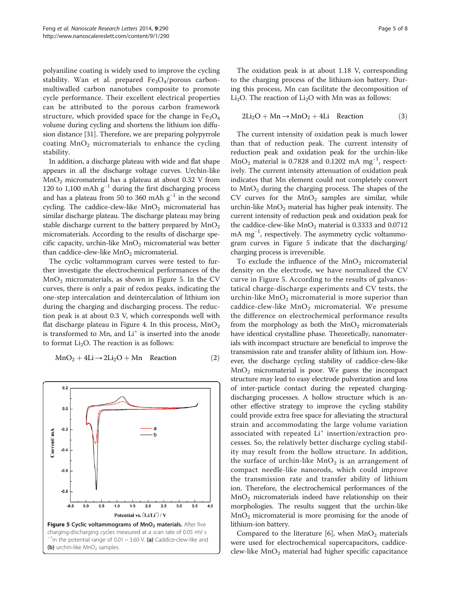<span id="page-4-0"></span>polyaniline coating is widely used to improve the cycling stability. Wan et al. prepared  $Fe<sub>3</sub>O<sub>4</sub>/porous carbon$ multiwalled carbon nanotubes composite to promote cycle performance. Their excellent electrical properties can be attributed to the porous carbon framework structure, which provided space for the change in  $Fe<sub>3</sub>O<sub>4</sub>$ volume during cycling and shortens the lithium ion diffusion distance [\[31\]](#page-6-0). Therefore, we are preparing polypyrrole coating  $MnO<sub>2</sub>$  micromaterials to enhance the cycling stability.

In addition, a discharge plateau with wide and flat shape appears in all the discharge voltage curves. Urchin-like  $MnO<sub>2</sub>$  micromaterial has a plateau at about 0.32 V from 120 to 1,100 mAh  $g^{-1}$  during the first discharging process and has a plateau from 50 to 360 mAh  $g^{-1}$  in the second cycling. The caddice-clew-like  $MnO<sub>2</sub>$  micromaterial has similar discharge plateau. The discharge plateau may bring stable discharge current to the battery prepared by  $MnO<sub>2</sub>$ micromaterials. According to the results of discharge specific capacity, urchin-like  $MnO<sub>2</sub>$  micromaterial was better than caddice-clew-like  $MnO<sub>2</sub>$  micromaterial.

The cyclic voltammogram curves were tested to further investigate the electrochemical performances of the  $MnO<sub>2</sub>$  micromaterials, as shown in Figure 5. In the CV curves, there is only a pair of redox peaks, indicating the one-step intercalation and deintercalation of lithium ion during the charging and discharging process. The reduction peak is at about 0.3 V, which corresponds well with flat discharge plateau in Figure [4.](#page-3-0) In this process,  $MnO<sub>2</sub>$ is transformed to Mn, and  $Li<sup>+</sup>$  is inserted into the anode to format  $Li<sub>2</sub>O$ . The reaction is as follows:

$$
MnO_2 + 4Li \rightarrow 2Li_2O + Mn \quad \text{Reaction} \tag{2}
$$



The oxidation peak is at about 1.18 V, corresponding to the charging process of the lithium-ion battery. During this process, Mn can facilitate the decomposition of Li<sub>2</sub>O. The reaction of Li<sub>2</sub>O with Mn was as follows:

$$
2Li_2O + Mn \rightarrow MnO_2 + 4Li \quad \text{Reaction} \tag{3}
$$

The current intensity of oxidation peak is much lower than that of reduction peak. The current intensity of reduction peak and oxidation peak for the urchin-like  $MnO<sub>2</sub>$  material is 0.7828 and 0.1202 mA mg<sup>-1</sup>, respectively. The current intensity attenuation of oxidation peak indicates that Mn element could not completely convert to  $MnO<sub>2</sub>$  during the charging process. The shapes of the CV curves for the  $MnO<sub>2</sub>$  samples are similar, while urchin-like  $MnO<sub>2</sub>$  material has higher peak intensity. The current intensity of reduction peak and oxidation peak for the caddice-clew-like  $MnO<sub>2</sub>$  material is 0.3333 and 0.0712 mA mg<sup>-1</sup>, respectively. The asymmetry cyclic voltammogram curves in Figure 5 indicate that the discharging/ charging process is irreversible.

To exclude the influence of the  $MnO<sub>2</sub>$  micromaterial density on the electrode, we have normalized the CV curve in Figure 5. According to the results of galvanostatical charge-discharge experiments and CV tests, the urchin-like  $MnO<sub>2</sub>$  micromaterial is more superior than caddice-clew-like  $MnO<sub>2</sub>$  micromaterial. We presume the difference on electrochemical performance results from the morphology as both the  $MnO<sub>2</sub>$  micromaterials have identical crystalline phase. Theoretically, nanomaterials with incompact structure are beneficial to improve the transmission rate and transfer ability of lithium ion. However, the discharge cycling stability of caddice-clew-like MnO2 micromaterial is poor. We guess the incompact structure may lead to easy electrode pulverization and loss of inter-particle contact during the repeated chargingdischarging processes. A hollow structure which is another effective strategy to improve the cycling stability could provide extra free space for alleviating the structural strain and accommodating the large volume variation associated with repeated Li<sup>+</sup> insertion/extraction processes. So, the relatively better discharge cycling stability may result from the hollow structure. In addition, the surface of urchin-like  $MnO<sub>2</sub>$  is an arrangement of compact needle-like nanorods, which could improve the transmission rate and transfer ability of lithium ion. Therefore, the electrochemical performances of the  $MnO<sub>2</sub>$  micromaterials indeed have relationship on their morphologies. The results suggest that the urchin-like  $MnO<sub>2</sub>$  micromaterial is more promising for the anode of lithium-ion battery.

Compared to the literature [\[6](#page-6-0)], when  $MnO<sub>2</sub>$  materials were used for electrochemical supercapacitors, caddiceclew-like  $MnO<sub>2</sub>$  material had higher specific capacitance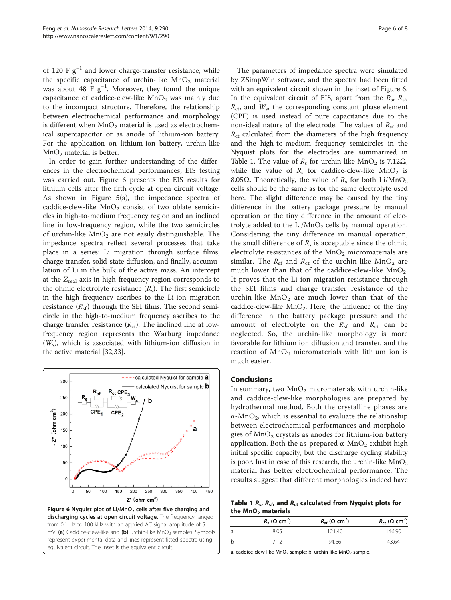of 120 F  $g^{-1}$  and lower charge-transfer resistance, while the specific capacitance of urchin-like  $MnO<sub>2</sub>$  material was about 48 F  $g^{-1}$ . Moreover, they found the unique capacitance of caddice-clew-like  $MnO<sub>2</sub>$  was mainly due to the incompact structure. Therefore, the relationship between electrochemical performance and morphology is different when  $MnO<sub>2</sub>$  material is used as electrochemical supercapacitor or as anode of lithium-ion battery. For the application on lithium-ion battery, urchin-like  $MnO<sub>2</sub>$  material is better.

In order to gain further understanding of the differences in the electrochemical performances, EIS testing was carried out. Figure 6 presents the EIS results for lithium cells after the fifth cycle at open circuit voltage. As shown in Figure [5](#page-4-0)(a), the impedance spectra of caddice-clew-like  $MnO<sub>2</sub>$  consist of two oblate semicircles in high-to-medium frequency region and an inclined line in low-frequency region, while the two semicircles of urchin-like  $MnO<sub>2</sub>$  are not easily distinguishable. The impedance spectra reflect several processes that take place in a series: Li migration through surface films, charge transfer, solid-state diffusion, and finally, accumulation of Li in the bulk of the active mass. An intercept at the  $Z_{real}$  axis in high-frequency region corresponds to the ohmic electrolyte resistance  $(R_s)$ . The first semicircle in the high frequency ascribes to the Li-ion migration resistance  $(R_{\rm sf})$  through the SEI films. The second semicircle in the high-to-medium frequency ascribes to the charge transfer resistance  $(R_{\text{ct}})$ . The inclined line at lowfrequency region represents the Warburg impedance  $(W<sub>s</sub>)$ , which is associated with lithium-ion diffusion in the active material [\[32,33](#page-7-0)].



equivalent circuit. The inset is the equivalent circuit.

The parameters of impedance spectra were simulated by ZSimpWin software, and the spectra had been fitted with an equivalent circuit shown in the inset of Figure 6. In the equivalent circuit of EIS, apart from the  $R_s$ ,  $R_{sf}$ ,  $R_{\rm ct}$ , and  $W_{\rm s}$ , the corresponding constant phase element (CPE) is used instead of pure capacitance due to the non-ideal nature of the electrode. The values of  $R_{sf}$  and  $R<sub>ct</sub>$  calculated from the diameters of the high frequency and the high-to-medium frequency semicircles in the Nyquist plots for the electrodes are summarized in Table 1. The value of  $R_s$  for urchin-like MnO<sub>2</sub> is 7.12 $\Omega$ , while the value of  $R_s$  for caddice-clew-like MnO<sub>2</sub> is 8.05 $\Omega$ . Theoretically, the value of  $R_s$  for both Li/MnO<sub>2</sub> cells should be the same as for the same electrolyte used here. The slight difference may be caused by the tiny difference in the battery package pressure by manual operation or the tiny difference in the amount of electrolyte added to the  $Li/MnO<sub>2</sub>$  cells by manual operation. Considering the tiny difference in manual operation, the small difference of  $R_s$  is acceptable since the ohmic electrolyte resistances of the  $MnO<sub>2</sub>$  micromaterials are similar. The  $R_{sf}$  and  $R_{ct}$  of the urchin-like MnO<sub>2</sub> are much lower than that of the caddice-clew-like  $MnO_2$ . It proves that the Li-ion migration resistance through the SEI films and charge transfer resistance of the urchin-like  $MnO<sub>2</sub>$  are much lower than that of the caddice-clew-like  $MnO<sub>2</sub>$ . Here, the influence of the tiny difference in the battery package pressure and the amount of electrolyte on the  $R_{\rm sf}$  and  $R_{\rm ct}$  can be neglected. So, the urchin-like morphology is more favorable for lithium ion diffusion and transfer, and the reaction of  $MnO<sub>2</sub>$  micromaterials with lithium ion is much easier.

## Conclusions

In summary, two  $MnO<sub>2</sub>$  micromaterials with urchin-like and caddice-clew-like morphologies are prepared by hydrothermal method. Both the crystalline phases are  $\alpha$ -MnO<sub>2</sub>, which is essential to evaluate the relationship between electrochemical performances and morphologies of  $MnO<sub>2</sub>$  crystals as anodes for lithium-ion battery application. Both the as-prepared  $\alpha$ -MnO<sub>2</sub> exhibit high initial specific capacity, but the discharge cycling stability is poor. Just in case of this research, the urchin-like  $MnO<sub>2</sub>$ material has better electrochemical performance. The results suggest that different morphologies indeed have

Table 1  $R_{\rm s}$ ,  $R_{\rm sf}$ , and  $R_{\rm ct}$  calculated from Nyquist plots for the  $MnO<sub>2</sub>$  materials

| $R_s$ ( $\Omega$ cm <sup>2</sup> ) | $R_{\rm sf}$ ( $\Omega$ cm <sup>2</sup> ) | $R_{\rm ct}$ ( $\Omega$ cm <sup>2</sup> ) |
|------------------------------------|-------------------------------------------|-------------------------------------------|
| 8.05                               | 121.40                                    | 146.90                                    |
| 712                                | 94.66                                     | 43.64                                     |

a, caddice-clew-like  $MnO<sub>2</sub>$  sample; b, urchin-like  $MnO<sub>2</sub>$  sample.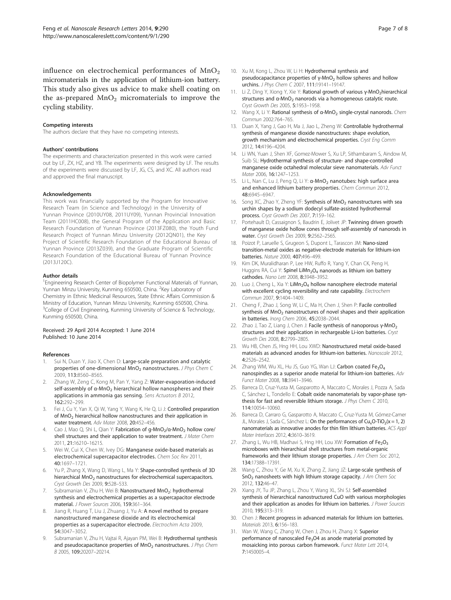<span id="page-6-0"></span>influence on electrochemical performances of  $MnO<sub>2</sub>$ micromaterials in the application of lithium-ion battery. This study also gives us advice to make shell coating on the as-prepared  $MnO<sub>2</sub>$  micromaterials to improve the cycling stability.

#### Competing interests

The authors declare that they have no competing interests.

#### Authors' contributions

The experiments and characterization presented in this work were carried out by LF, ZX, HZ, and YB. The experiments were designed by LF. The results of the experiments were discussed by LF, JG, CS, and XC. All authors read and approved the final manuscript.

#### Acknowledgements

This work was financially supported by the Program for Innovative Research Team (in Science and Technology) in the University of Yunnan Province (2010UY08, 2011UY09), Yunnan Provincial Innovation Team (2011HC008), the General Program of the Application and Basic Research Foundation of Yunnan Province (2013FZ080), the Youth Fund Research Project of Yunnan Minzu University (2012QN01), the Key Project of Scientific Research Foundation of the Educational Bureau of Yunnan Province (2013Z039), and the Graduate Program of Scientific Research Foundation of the Educational Bureau of Yunnan Province  $(20131120C)$ 

#### Author details

<sup>1</sup> Engineering Research Center of Biopolymer Functional Materials of Yunnan, Yunnan Minzu University, Kunming 650500, China. <sup>2</sup>Key Laboratory of Chemistry in Ethnic Medicinal Resources, State Ethnic Affairs Commission & Ministry of Education, Yunnan Minzu University, Kunming 650500, China. <sup>3</sup>College of Civil Engineering, Kunming University of Science & Technology, Kunming 650500, China.

#### Received: 29 April 2014 Accepted: 1 June 2014 Published: 10 June 2014

#### References

- 1. Sui N, Duan Y, Jiao X, Chen D: Large-scale preparation and catalytic properties of one-dimensional  $MnO<sub>2</sub>$  nanostructures. J Phys Chem C 2009, 113:8560–8565.
- 2. Zhang W, Zeng C, Kong M, Pan Y, Yang Z: Water-evaporation-induced self-assembly of  $\alpha$ -MnO<sub>2</sub> hierarchical hollow nanospheres and their applications in ammonia gas sensing. Sens Actuators B 2012, 162:292–299.
- 3. Fei J, Cu Y, Yan X, Qi W, Yang Y, Wang K, He Q, Li J: Controlled preparation of  $MnO<sub>2</sub>$  hierarchical hollow nanostructures and their application in water treatment. Adv Mater 2008, 20:452–456.
- Cao J, Mao Q, Shi L, Qian Y: Fabrication of g-MnO<sub>2</sub>/α-MnO<sub>2</sub> hollow core/ shell structures and their application to water treatment. J Mater Chem 2011, 21:16210–16215.
- 5. Wei W, Cui X, Chen W, Ivey DG: Manganese oxide-based materials as electrochemical supercapacitor electrodes. Chem Soc Rev 2011, 40:1697–1721.
- 6. Yu P, Zhang X, Wang D, Wang L, Ma Y: Shape-controlled synthesis of 3D hierarchical  $MnO<sub>2</sub>$  nanostructures for electrochemical supercapacitors. Cryst Growth Des 2009, 9:528–533.
- 7. Subramanian V, Zhu H, Wei B: Nanostructured MnO<sub>2</sub>: hydrothermal synthesis and electrochemical properties as a supercapacitor electrode material. J Power Sources 2006, 159:361–364.
- Jiang R, Huang T, Liu J, Zhuang J, Yu A: A novel method to prepare nanostructured manganese dioxide and its electrochemical properties as a supercapacitor electrode. Electrochim Acta 2009, 54:3047–3052.
- Subramanian V, Zhu H, Vajtai R, Ajayan PM, Wei B: Hydrothermal synthesis and pseudocapacitance properties of  $MnO<sub>2</sub>$  nanostructures. J Phys Chem B 2005, 109:20207–20214.
- 10. Xu M, Kong L, Zhou W, Li H: Hydrothermal synthesis and pseudocapacitance properties of  $\gamma$ -MnO<sub>2</sub> hollow spheres and hollow urchins. J Phys Chem C 2007, 111:19141–19147.
- 11. Li Z, Ding Y, Xiong Y, Xie Y: Rational growth of various γ-MnO<sub>2</sub>hierarchical structures and α-MnO<sub>2</sub> nanorods via a homogeneous catalytic route. Cryst Growth Des 2005, 5:1953–1958.
- 12. Wang X, Li Y: Rational synthesis of α-MnO<sub>2</sub> single-crystal nanorods. Chem Commun 2002:764–765.
- 13. Duan X, Yang J, Gao H, Ma J, Jiao L, Zheng W: Controllable hydrothermal synthesis of manganese dioxide nanostructures: shape evolution, growth mechanism and electrochemical properties. Cryst Eng Comm 2012, 14:4196–4204.
- 14. Li WN, Yuan J, Shen XF, Gomez-Mower S, Xu LP, Sithambaram S, Aindow M, Suib SL: Hydrothermal synthesis of structure- and shape-controlled manganese oxide octahedral molecular sieve nanomaterials. Adv Funct Mater 2006, 16:1247–1253.
- 15. Li L, Nan C, Lu J, Peng Q, Li Y: α-MnO<sub>2</sub> nanotubes: high surface area and enhanced lithium battery properties. Chem Commun 2012, 48:6945–6947.
- 16. Song XC, Zhao Y, Zheng YF: Synthesis of MnO<sub>2</sub> nanostructures with sea urchin shapes by a sodium dodecyl sulfate-assisted hydrothermal process. Cryst Growth Des 2007, 7:159–162.
- 17. Portehault D, Cassaignon S, Baudrin E, Jolivet JP: Twinning driven growth of manganese oxide hollow cones through self-assembly of nanorods in water. Cryst Growth Des 2009, 9:2562–2565.
- 18. Poizot P, Laruelle S, Grugeon S, Dupont L, Tarascon JM: Nano-sized transition-metal oxides as negative-electrode materials for lithium-ion batteries. Nature 2000, 407:496–499.
- 19. Kim DK, Muralidharan P, Lee HW, Ruffo R, Yang Y, Chan CK, Peng H, Huggins RA, Cui Y: Spinel LiMn<sub>2</sub>O<sub>4</sub> nanorods as lithium ion battery cathodes. Nano Lett 2008, 8:3948–3952.
- 20. Luo J, Cheng L, Xia Y: LiMn<sub>2</sub>O<sub>4</sub> hollow nanosphere electrode material with excellent cycling reversibility and rate capability. Electrochem Commun 2007, 9:1404–1409.
- 21. Cheng F, Zhao J, Song W, Li C, Ma H, Chen J, Shen P: Facile controlled synthesis of MnO<sub>2</sub> nanostructures of novel shapes and their application in batteries. Inorg Chem 2006, 45:2038–2044.
- 22. Zhao J, Tao Z, Liang J, Chen J: Facile synthesis of nanoporous γ-MnO<sub>2</sub> structures and their application in rechargeable Li-ion batteries. Cryst Growth Des 2008, 8:2799–2805.
- 23. Wu HB, Chen JS, Hng HH, Lou XWD: Nanostructured metal oxide-based materials as advanced anodes for lithium-ion batteries. Nanoscale 2012, 4:2526–2542.
- 24. Zhang WM, Wu XL, Hu JS, Guo YG, Wan LJ: Carbon coated Fe<sub>3</sub>O<sub>4</sub> nanospindles as a superior anode material for lithium-ion batteries. Adv Funct Mater 2008, 18:3941–3946.
- 25. Barreca D, Cruz-Yusta M, Gasparotto A, Maccato C, Morales J, Pozza A, Sada C, Sánchez L, Tondello E: Cobalt oxide nanomaterials by vapor-phase synthesis for fast and reversible lithium storage. J Phys Chem C 2010, 114:10054–10060.
- 26. Barreca D, Carraro G, Gasparotto A, Maccato C, Cruz-Yusta M, Gómez-Camer JL, Morales J, Sada C, Sánchez L: On the performances of  $Cu_xO-TIO_2(x = 1, 2)$ nanomaterials as innovative anodes for thin film lithium batteries. ACS Appl Mater Interfaces 2012, 4:3610–3619.
- 27. Zhang L, Wu HB, Madhavi S, Hng HH, Lou XW: Formation of Fe<sub>2</sub>O<sub>3</sub> microboxes with hierarchical shell structures from metal-organic frameworks and their lithium storage properties. J Am Chem Soc 2012, 134:17388–17391.
- 28. Wang C, Zhou Y, Ge M, Xu X, Zhang Z, Jiang JZ: Large-scale synthesis of SnO<sub>2</sub> nanosheets with high lithium storage capacity. J Am Chem Soc 2012, 132:46–47.
- 29. Xiang JY, Tu JP, Zhang L, Zhou Y, Wang XL, Shi SJ: Self-assembled synthesis of hierarchical nanostructured CuO with various morphologies and their application as anodes for lithium ion batteries. J Power Sources 2010, 195:313–319.
- 30. Chen J: Recent progress in advanced materials for lithium ion batteries. Materials 2013, 6:156–183.
- 31. Wan W, Wang C, Zhang W, Chen J, Zhou H, Zhang X: Superior performance of nanoscaled  $Fe<sub>3</sub>O4$  as anode material promoted by mosaicking into porous carbon framework. Funct Mater Lett 2014, 7:1450005–4.